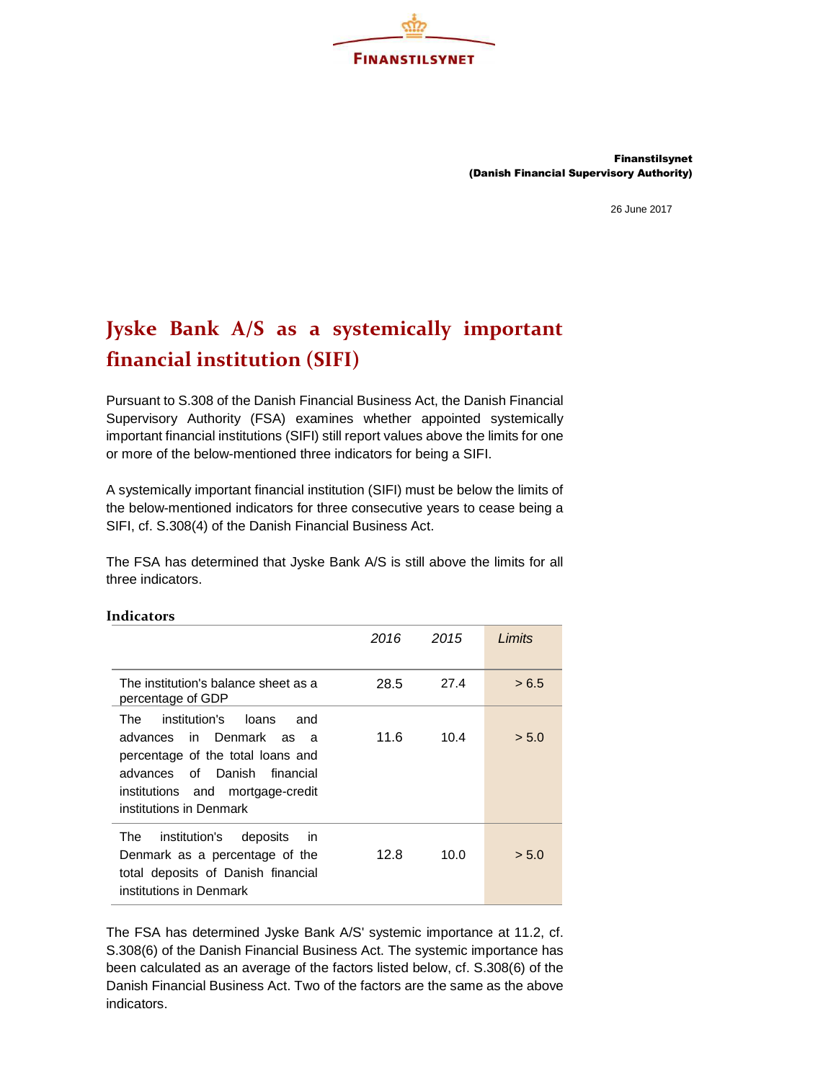

Finanstilsynet (Danish Financial Supervisory Authority)

26 June 2017

## Jyske Bank A/S as a systemically important financial institution (SIFI)

Pursuant to S.308 of the Danish Financial Business Act, the Danish Financial Supervisory Authority (FSA) examines whether appointed systemically important financial institutions (SIFI) still report values above the limits for one or more of the below-mentioned three indicators for being a SIFI.

A systemically important financial institution (SIFI) must be below the limits of the below-mentioned indicators for three consecutive years to cease being a SIFI, cf. S.308(4) of the Danish Financial Business Act.

The FSA has determined that Jyske Bank A/S is still above the limits for all three indicators.

|                                                                                                                                                                                                        | 2016 | 2015 | Limits |
|--------------------------------------------------------------------------------------------------------------------------------------------------------------------------------------------------------|------|------|--------|
| The institution's balance sheet as a<br>percentage of GDP                                                                                                                                              | 28.5 | 27.4 | > 6.5  |
| institution's loans<br>and<br>The .<br>advances in Denmark as a<br>percentage of the total loans and<br>advances of Danish<br>financial<br>institutions and mortgage-credit<br>institutions in Denmark | 11.6 | 10.4 | > 5.0  |
| The<br>institution's<br>deposits<br>in.<br>Denmark as a percentage of the<br>total deposits of Danish financial<br>institutions in Denmark                                                             | 12.8 | 10.0 | > 5.0  |

## Indicators

The FSA has determined Jyske Bank A/S' systemic importance at 11.2, cf. S.308(6) of the Danish Financial Business Act. The systemic importance has been calculated as an average of the factors listed below, cf. S.308(6) of the Danish Financial Business Act. Two of the factors are the same as the above indicators.